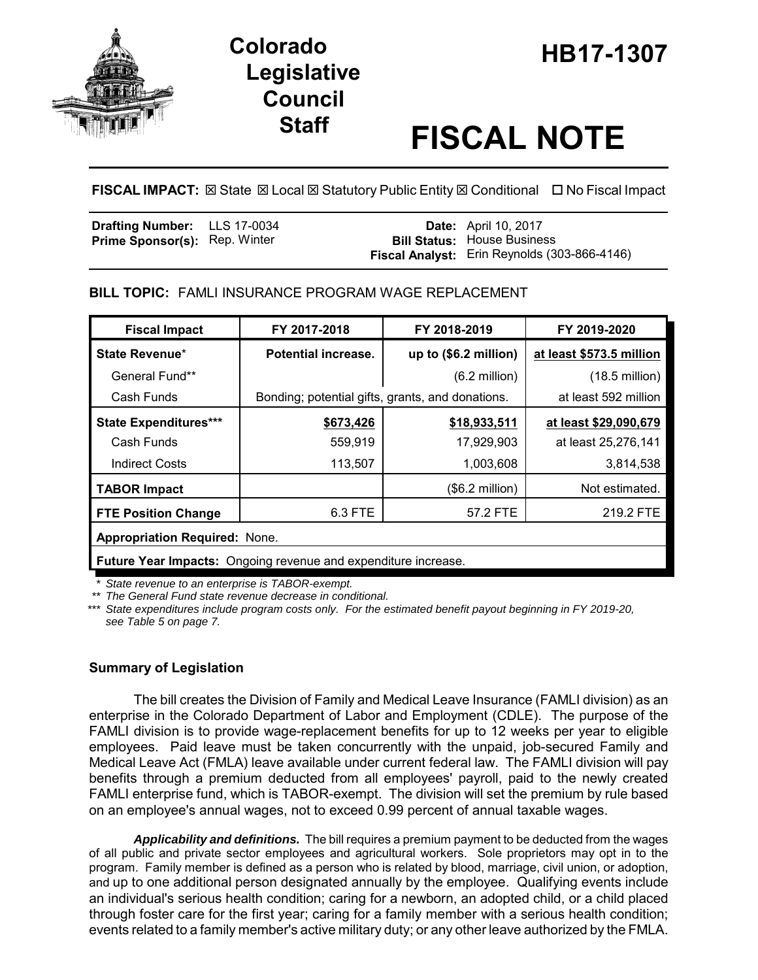

# **Legislative Council**

# **Staff FISCAL NOTE**

**FISCAL IMPACT:** ⊠ State ⊠ Local ⊠ Statutory Public Entity ⊠ Conditional □ No Fiscal Impact

| <b>Drafting Number:</b> LLS 17-0034  |  | <b>Date:</b> April 10, 2017                  |
|--------------------------------------|--|----------------------------------------------|
| <b>Prime Sponsor(s): Rep. Winter</b> |  | <b>Bill Status:</b> House Business           |
|                                      |  | Fiscal Analyst: Erin Reynolds (303-866-4146) |

**BILL TOPIC:** FAMLI INSURANCE PROGRAM WAGE REPLACEMENT

| <b>Fiscal Impact</b>                                           | FY 2017-2018                                     | FY 2018-2019            | FY 2019-2020             |  |  |
|----------------------------------------------------------------|--------------------------------------------------|-------------------------|--------------------------|--|--|
| State Revenue*                                                 | Potential increase.                              | up to (\$6.2 million)   | at least \$573.5 million |  |  |
| General Fund**                                                 |                                                  | $(6.2 \text{ million})$ | $(18.5 \text{ million})$ |  |  |
| Cash Funds                                                     | Bonding; potential gifts, grants, and donations. |                         | at least 592 million     |  |  |
| <b>State Expenditures***</b>                                   | \$673,426                                        | \$18,933,511            | at least \$29,090,679    |  |  |
| Cash Funds                                                     | 559,919                                          | 17,929,903              | at least 25,276,141      |  |  |
| <b>Indirect Costs</b>                                          | 113,507                                          | 1,003,608               | 3,814,538                |  |  |
| <b>TABOR Impact</b>                                            |                                                  | (\$6.2 million)         | Not estimated.           |  |  |
| <b>FTE Position Change</b>                                     | 6.3 FTE                                          | 57.2 FTE                | 219.2 FTE                |  |  |
| <b>Appropriation Required: None.</b>                           |                                                  |                         |                          |  |  |
| Future Year Impacts: Ongoing revenue and expenditure increase. |                                                  |                         |                          |  |  |

*\* State revenue to an enterprise is TABOR-exempt.*

*\*\* The General Fund state revenue decrease in conditional.*

*\*\*\* State expenditures include program costs only. For the estimated benefit payout beginning in FY 2019-20, see Table 5 on page 7.*

# **Summary of Legislation**

The bill creates the Division of Family and Medical Leave Insurance (FAMLI division) as an enterprise in the Colorado Department of Labor and Employment (CDLE). The purpose of the FAMLI division is to provide wage-replacement benefits for up to 12 weeks per year to eligible employees. Paid leave must be taken concurrently with the unpaid, job-secured Family and Medical Leave Act (FMLA) leave available under current federal law. The FAMLI division will pay benefits through a premium deducted from all employees' payroll, paid to the newly created FAMLI enterprise fund, which is TABOR-exempt. The division will set the premium by rule based on an employee's annual wages, not to exceed 0.99 percent of annual taxable wages.

*Applicability and definitions.* The bill requires a premium payment to be deducted from the wages of all public and private sector employees and agricultural workers. Sole proprietors may opt in to the program. Family member is defined as a person who is related by blood, marriage, civil union, or adoption, and up to one additional person designated annually by the employee. Qualifying events include an individual's serious health condition; caring for a newborn, an adopted child, or a child placed through foster care for the first year; caring for a family member with a serious health condition; events related to a family member's active military duty; or any other leave authorized by the FMLA.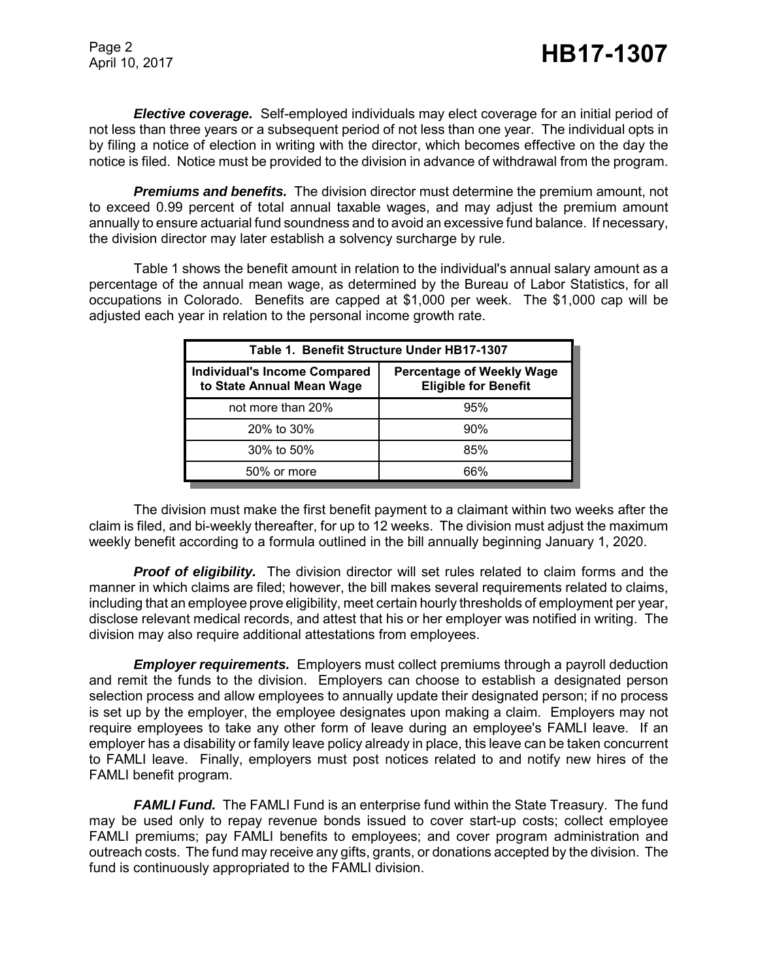*Elective coverage.* Self-employed individuals may elect coverage for an initial period of not less than three years or a subsequent period of not less than one year. The individual opts in by filing a notice of election in writing with the director, which becomes effective on the day the notice is filed. Notice must be provided to the division in advance of withdrawal from the program.

*Premiums and benefits.* The division director must determine the premium amount, not to exceed 0.99 percent of total annual taxable wages, and may adjust the premium amount annually to ensure actuarial fund soundness and to avoid an excessive fund balance. If necessary, the division director may later establish a solvency surcharge by rule.

Table 1 shows the benefit amount in relation to the individual's annual salary amount as a percentage of the annual mean wage, as determined by the Bureau of Labor Statistics, for all occupations in Colorado. Benefits are capped at \$1,000 per week. The \$1,000 cap will be adjusted each year in relation to the personal income growth rate.

| Table 1. Benefit Structure Under HB17-1307                       |                                                                 |  |  |  |
|------------------------------------------------------------------|-----------------------------------------------------------------|--|--|--|
| <b>Individual's Income Compared</b><br>to State Annual Mean Wage | <b>Percentage of Weekly Wage</b><br><b>Eligible for Benefit</b> |  |  |  |
| not more than 20%                                                | 95%                                                             |  |  |  |
| 20% to 30%                                                       | 90%                                                             |  |  |  |
| 30% to 50%                                                       | 85%                                                             |  |  |  |
| 50% or more                                                      | 66%                                                             |  |  |  |

The division must make the first benefit payment to a claimant within two weeks after the claim is filed, and bi-weekly thereafter, for up to 12 weeks. The division must adjust the maximum weekly benefit according to a formula outlined in the bill annually beginning January 1, 2020.

**Proof of eligibility.** The division director will set rules related to claim forms and the manner in which claims are filed; however, the bill makes several requirements related to claims, including that an employee prove eligibility, meet certain hourly thresholds of employment per year, disclose relevant medical records, and attest that his or her employer was notified in writing. The division may also require additional attestations from employees.

*Employer requirements.* Employers must collect premiums through a payroll deduction and remit the funds to the division. Employers can choose to establish a designated person selection process and allow employees to annually update their designated person; if no process is set up by the employer, the employee designates upon making a claim. Employers may not require employees to take any other form of leave during an employee's FAMLI leave. If an employer has a disability or family leave policy already in place, this leave can be taken concurrent to FAMLI leave. Finally, employers must post notices related to and notify new hires of the FAMLI benefit program.

*FAMLI Fund.* The FAMLI Fund is an enterprise fund within the State Treasury. The fund may be used only to repay revenue bonds issued to cover start-up costs; collect employee FAMLI premiums; pay FAMLI benefits to employees; and cover program administration and outreach costs. The fund may receive any gifts, grants, or donations accepted by the division. The fund is continuously appropriated to the FAMLI division.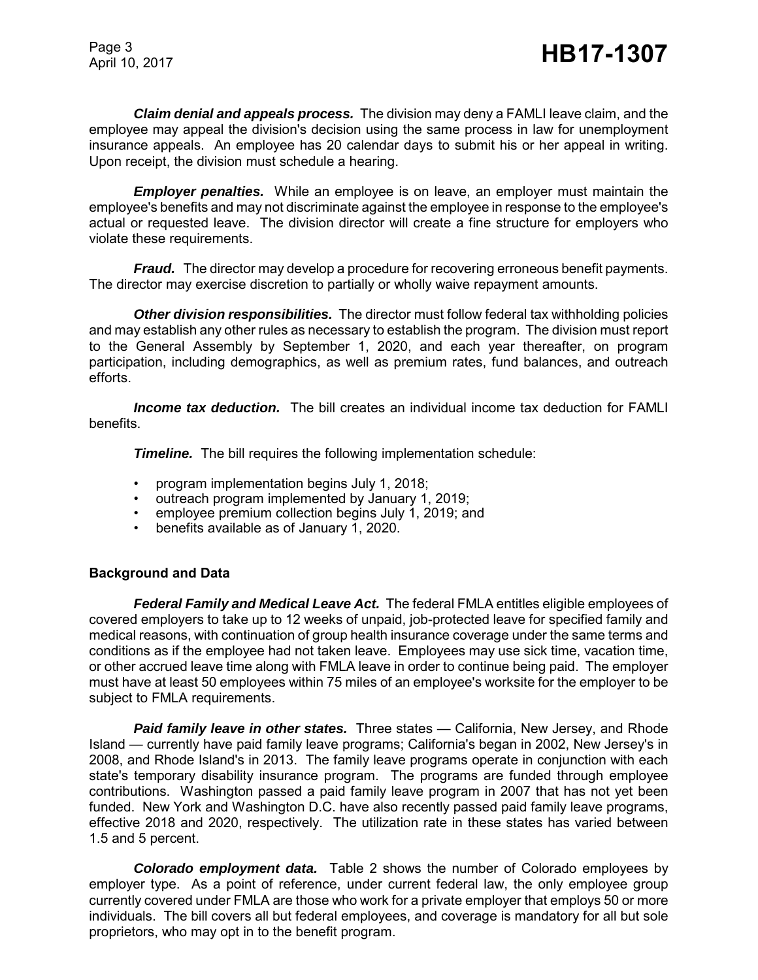*Claim denial and appeals process.* The division may deny a FAMLI leave claim, and the employee may appeal the division's decision using the same process in law for unemployment insurance appeals. An employee has 20 calendar days to submit his or her appeal in writing. Upon receipt, the division must schedule a hearing.

*Employer penalties.* While an employee is on leave, an employer must maintain the employee's benefits and may not discriminate against the employee in response to the employee's actual or requested leave. The division director will create a fine structure for employers who violate these requirements.

*Fraud.* The director may develop a procedure for recovering erroneous benefit payments. The director may exercise discretion to partially or wholly waive repayment amounts.

*Other division responsibilities.* The director must follow federal tax withholding policies and may establish any other rules as necessary to establish the program. The division must report to the General Assembly by September 1, 2020, and each year thereafter, on program participation, including demographics, as well as premium rates, fund balances, and outreach efforts.

*Income tax deduction.* The bill creates an individual income tax deduction for FAMLI benefits.

*Timeline.* The bill requires the following implementation schedule:

- program implementation begins July 1, 2018;
- outreach program implemented by January 1, 2019;
- employee premium collection begins July 1, 2019; and
- benefits available as of January 1, 2020.

#### **Background and Data**

*Federal Family and Medical Leave Act.* The federal FMLA entitles eligible employees of covered employers to take up to 12 weeks of unpaid, job-protected leave for specified family and medical reasons, with continuation of group health insurance coverage under the same terms and conditions as if the employee had not taken leave. Employees may use sick time, vacation time, or other accrued leave time along with FMLA leave in order to continue being paid. The employer must have at least 50 employees within 75 miles of an employee's worksite for the employer to be subject to FMLA requirements.

**Paid family leave in other states.** Three states — California, New Jersey, and Rhode Island — currently have paid family leave programs; California's began in 2002, New Jersey's in 2008, and Rhode Island's in 2013. The family leave programs operate in conjunction with each state's temporary disability insurance program. The programs are funded through employee contributions. Washington passed a paid family leave program in 2007 that has not yet been funded. New York and Washington D.C. have also recently passed paid family leave programs, effective 2018 and 2020, respectively. The utilization rate in these states has varied between 1.5 and 5 percent.

*Colorado employment data.* Table 2 shows the number of Colorado employees by employer type. As a point of reference, under current federal law, the only employee group currently covered under FMLA are those who work for a private employer that employs 50 or more individuals. The bill covers all but federal employees, and coverage is mandatory for all but sole proprietors, who may opt in to the benefit program.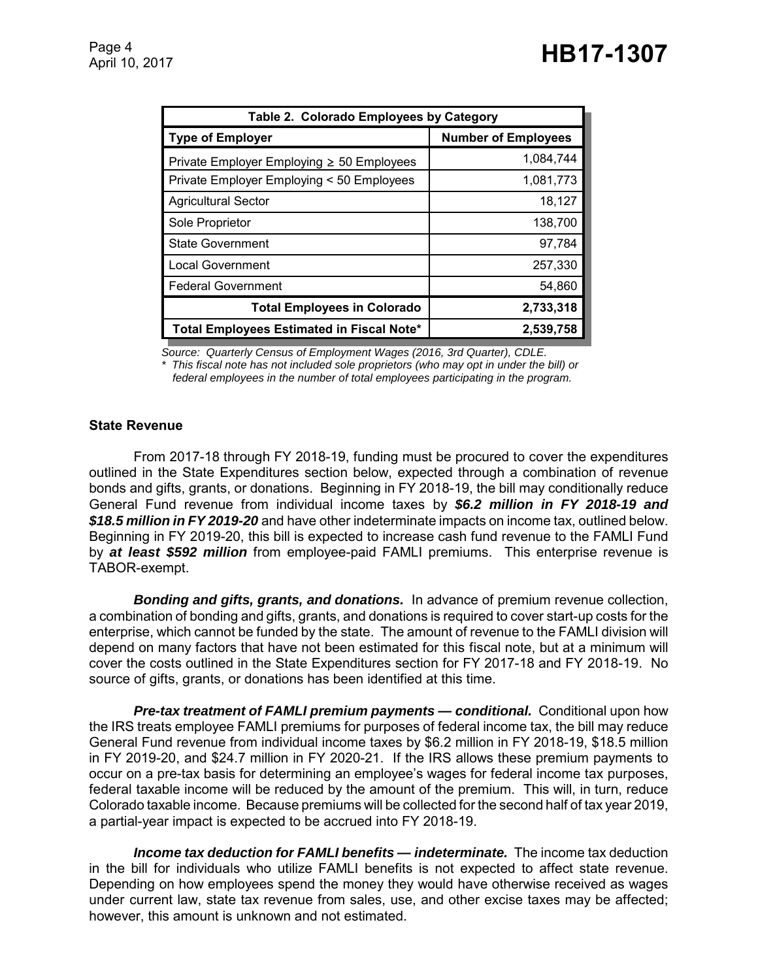| Table 2. Colorado Employees by Category        |                            |  |  |  |
|------------------------------------------------|----------------------------|--|--|--|
| <b>Type of Employer</b>                        | <b>Number of Employees</b> |  |  |  |
| Private Employer Employing $\geq 50$ Employees | 1,084,744                  |  |  |  |
| Private Employer Employing < 50 Employees      | 1,081,773                  |  |  |  |
| <b>Agricultural Sector</b>                     | 18,127                     |  |  |  |
| Sole Proprietor                                | 138,700                    |  |  |  |
| <b>State Government</b>                        | 97,784                     |  |  |  |
| <b>Local Government</b>                        | 257,330                    |  |  |  |
| <b>Federal Government</b>                      | 54,860                     |  |  |  |
| <b>Total Employees in Colorado</b>             | 2,733,318                  |  |  |  |
| Total Employees Estimated in Fiscal Note*      | 2,539,758                  |  |  |  |

*Source: Quarterly Census of Employment Wages (2016, 3rd Quarter), CDLE. \* This fiscal note has not included sole proprietors (who may opt in under the bill) or federal employees in the number of total employees participating in the program.*

### **State Revenue**

From 2017-18 through FY 2018-19, funding must be procured to cover the expenditures outlined in the State Expenditures section below, expected through a combination of revenue bonds and gifts, grants, or donations. Beginning in FY 2018-19, the bill may conditionally reduce General Fund revenue from individual income taxes by *\$6.2 million in FY 2018-19 and \$18.5 million in FY 2019-20* and have other indeterminate impacts on income tax, outlined below. Beginning in FY 2019-20, this bill is expected to increase cash fund revenue to the FAMLI Fund by *at least \$592 million* from employee-paid FAMLI premiums. This enterprise revenue is TABOR-exempt.

*Bonding and gifts, grants, and donations.* In advance of premium revenue collection, a combination of bonding and gifts, grants, and donations is required to cover start-up costs for the enterprise, which cannot be funded by the state. The amount of revenue to the FAMLI division will depend on many factors that have not been estimated for this fiscal note, but at a minimum will cover the costs outlined in the State Expenditures section for FY 2017-18 and FY 2018-19. No source of gifts, grants, or donations has been identified at this time.

*Pre-tax treatment of FAMLI premium payments — conditional.* Conditional upon how the IRS treats employee FAMLI premiums for purposes of federal income tax, the bill may reduce General Fund revenue from individual income taxes by \$6.2 million in FY 2018-19, \$18.5 million in FY 2019-20, and \$24.7 million in FY 2020-21. If the IRS allows these premium payments to occur on a pre-tax basis for determining an employee's wages for federal income tax purposes, federal taxable income will be reduced by the amount of the premium. This will, in turn, reduce Colorado taxable income. Because premiums will be collected for the second half of tax year 2019, a partial-year impact is expected to be accrued into FY 2018-19.

*Income tax deduction for FAMLI benefits — indeterminate.* The income tax deduction in the bill for individuals who utilize FAMLI benefits is not expected to affect state revenue. Depending on how employees spend the money they would have otherwise received as wages under current law, state tax revenue from sales, use, and other excise taxes may be affected; however, this amount is unknown and not estimated.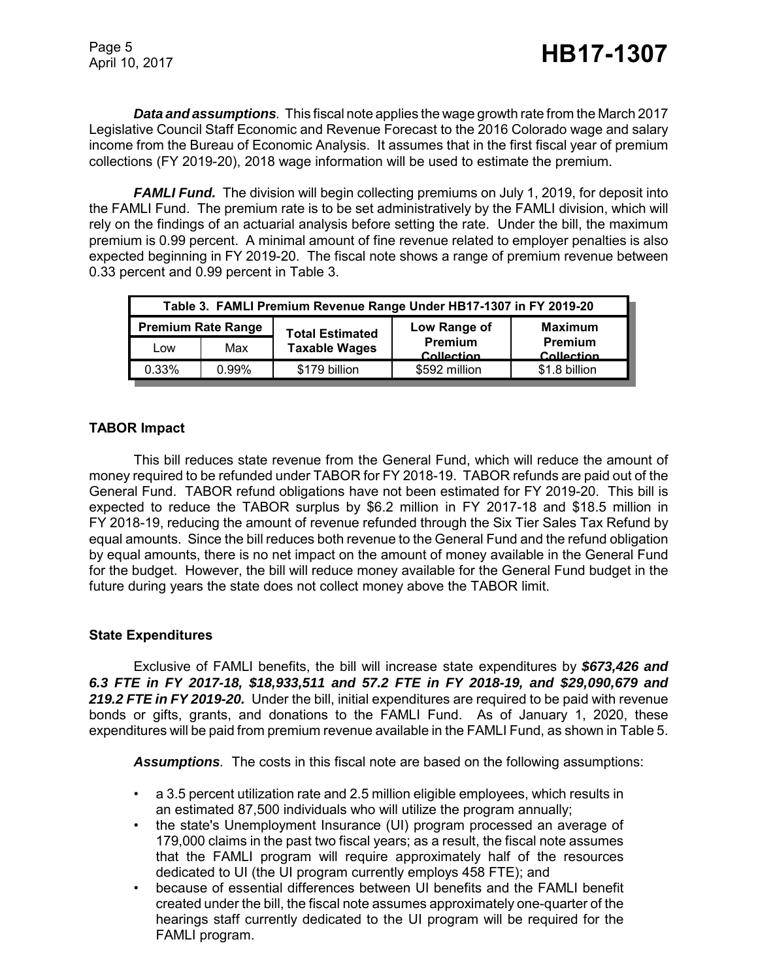*Data and assumptions.* This fiscal note applies the wage growth rate from the March 2017 Legislative Council Staff Economic and Revenue Forecast to the 2016 Colorado wage and salary income from the Bureau of Economic Analysis. It assumes that in the first fiscal year of premium collections (FY 2019-20), 2018 wage information will be used to estimate the premium.

*FAMLI Fund.* The division will begin collecting premiums on July 1, 2019, for deposit into the FAMLI Fund. The premium rate is to be set administratively by the FAMLI division, which will rely on the findings of an actuarial analysis before setting the rate. Under the bill, the maximum premium is 0.99 percent. A minimal amount of fine revenue related to employer penalties is also expected beginning in FY 2019-20. The fiscal note shows a range of premium revenue between 0.33 percent and 0.99 percent in Table 3.

| Table 3. FAMLI Premium Revenue Range Under HB17-1307 in FY 2019-20 |       |                        |                       |                              |  |  |
|--------------------------------------------------------------------|-------|------------------------|-----------------------|------------------------------|--|--|
| <b>Premium Rate Range</b>                                          |       | <b>Total Estimated</b> | Low Range of          | <b>Maximum</b>               |  |  |
| Low                                                                | Max   | <b>Taxable Wages</b>   | Premium<br>Collection | <b>Premium</b><br>Collection |  |  |
| 0.33%                                                              | 0.99% | \$179 billion          | \$592 million         | \$1.8 billion                |  |  |

## **TABOR Impact**

This bill reduces state revenue from the General Fund, which will reduce the amount of money required to be refunded under TABOR for FY 2018-19. TABOR refunds are paid out of the General Fund. TABOR refund obligations have not been estimated for FY 2019-20. This bill is expected to reduce the TABOR surplus by \$6.2 million in FY 2017-18 and \$18.5 million in FY 2018-19, reducing the amount of revenue refunded through the Six Tier Sales Tax Refund by equal amounts. Since the bill reduces both revenue to the General Fund and the refund obligation by equal amounts, there is no net impact on the amount of money available in the General Fund for the budget. However, the bill will reduce money available for the General Fund budget in the future during years the state does not collect money above the TABOR limit.

### **State Expenditures**

Exclusive of FAMLI benefits, the bill will increase state expenditures by *\$673,426 and 6.3 FTE in FY 2017-18, \$18,933,511 and 57.2 FTE in FY 2018-19, and \$29,090,679 and 219.2 FTE in FY 2019-20.* Under the bill, initial expenditures are required to be paid with revenue bonds or gifts, grants, and donations to the FAMLI Fund. As of January 1, 2020, these expenditures will be paid from premium revenue available in the FAMLI Fund, as shown in Table 5.

*Assumptions.* The costs in this fiscal note are based on the following assumptions:

- a 3.5 percent utilization rate and 2.5 million eligible employees, which results in an estimated 87,500 individuals who will utilize the program annually;
- the state's Unemployment Insurance (UI) program processed an average of 179,000 claims in the past two fiscal years; as a result, the fiscal note assumes that the FAMLI program will require approximately half of the resources dedicated to UI (the UI program currently employs 458 FTE); and
- because of essential differences between UI benefits and the FAMLI benefit created under the bill, the fiscal note assumes approximately one-quarter of the hearings staff currently dedicated to the UI program will be required for the FAMLI program.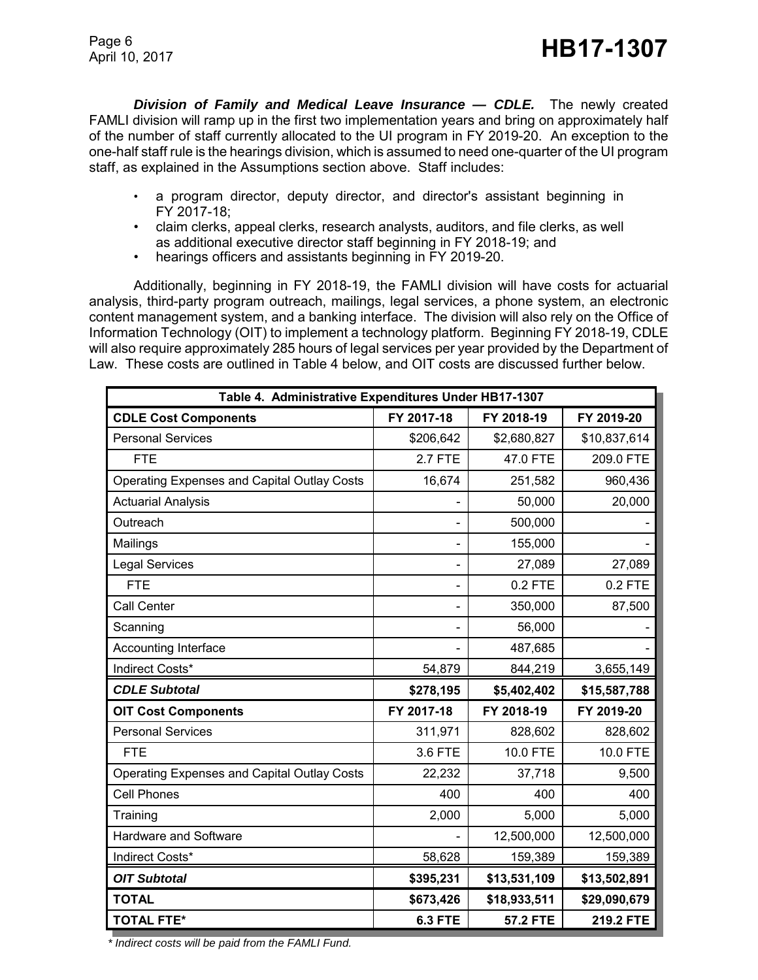Page 6

*Division of Family and Medical Leave Insurance — CDLE.* The newly created FAMLI division will ramp up in the first two implementation years and bring on approximately half of the number of staff currently allocated to the UI program in FY 2019-20. An exception to the one-half staff rule is the hearings division, which is assumed to need one-quarter of the UI program staff, as explained in the Assumptions section above. Staff includes:

- a program director, deputy director, and director's assistant beginning in FY 2017-18;
- claim clerks, appeal clerks, research analysts, auditors, and file clerks, as well as additional executive director staff beginning in FY 2018-19; and
- hearings officers and assistants beginning in FY 2019-20.

Additionally, beginning in FY 2018-19, the FAMLI division will have costs for actuarial analysis, third-party program outreach, mailings, legal services, a phone system, an electronic content management system, and a banking interface. The division will also rely on the Office of Information Technology (OIT) to implement a technology platform. Beginning FY 2018-19, CDLE will also require approximately 285 hours of legal services per year provided by the Department of Law. These costs are outlined in Table 4 below, and OIT costs are discussed further below.

| Table 4. Administrative Expenditures Under HB17-1307 |                |                 |              |  |  |
|------------------------------------------------------|----------------|-----------------|--------------|--|--|
| <b>CDLE Cost Components</b>                          | FY 2017-18     | FY 2018-19      | FY 2019-20   |  |  |
| <b>Personal Services</b>                             | \$206,642      | \$2,680,827     | \$10,837,614 |  |  |
| <b>FTE</b>                                           | <b>2.7 FTE</b> | 47.0 FTE        | 209.0 FTE    |  |  |
| Operating Expenses and Capital Outlay Costs          | 16,674         | 251,582         | 960,436      |  |  |
| <b>Actuarial Analysis</b>                            |                | 50,000          | 20,000       |  |  |
| Outreach                                             |                | 500,000         |              |  |  |
| Mailings                                             |                | 155,000         |              |  |  |
| <b>Legal Services</b>                                |                | 27,089          | 27,089       |  |  |
| <b>FTE</b>                                           |                | 0.2 FTE         | $0.2$ FTE    |  |  |
| <b>Call Center</b>                                   |                | 350,000         | 87,500       |  |  |
| Scanning                                             |                | 56,000          |              |  |  |
| Accounting Interface                                 |                | 487,685         |              |  |  |
| Indirect Costs*                                      | 54,879         | 844,219         | 3,655,149    |  |  |
| <b>CDLE Subtotal</b>                                 | \$278,195      | \$5,402,402     | \$15,587,788 |  |  |
| <b>OIT Cost Components</b>                           | FY 2017-18     | FY 2018-19      | FY 2019-20   |  |  |
| <b>Personal Services</b>                             | 311,971        | 828,602         | 828,602      |  |  |
| <b>FTE</b>                                           | 3.6 FTE        | 10.0 FTE        | 10.0 FTE     |  |  |
| Operating Expenses and Capital Outlay Costs          | 22,232         | 37,718          | 9,500        |  |  |
| <b>Cell Phones</b>                                   | 400            | 400             | 400          |  |  |
| Training                                             | 2,000          | 5,000           | 5,000        |  |  |
| Hardware and Software                                |                | 12,500,000      | 12,500,000   |  |  |
| Indirect Costs*                                      | 58,628         | 159,389         | 159,389      |  |  |
| <b>OIT Subtotal</b>                                  | \$395,231      | \$13,531,109    | \$13,502,891 |  |  |
| <b>TOTAL</b>                                         | \$673,426      | \$18,933,511    | \$29,090,679 |  |  |
| <b>TOTAL FTE*</b>                                    | <b>6.3 FTE</b> | <b>57.2 FTE</b> | 219.2 FTE    |  |  |

 *\* Indirect costs will be paid from the FAMLI Fund.*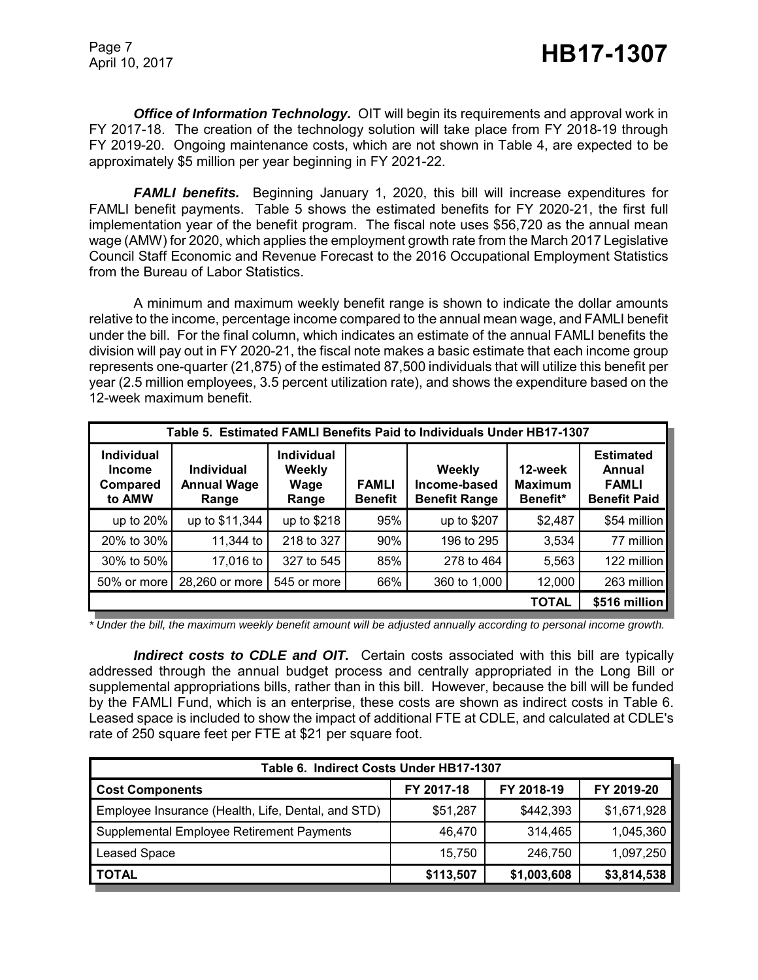*Office of Information Technology.* OIT will begin its requirements and approval work in FY 2017-18. The creation of the technology solution will take place from FY 2018-19 through FY 2019-20. Ongoing maintenance costs, which are not shown in Table 4, are expected to be approximately \$5 million per year beginning in FY 2021-22.

**FAMLI benefits.** Beginning January 1, 2020, this bill will increase expenditures for FAMLI benefit payments. Table 5 shows the estimated benefits for FY 2020-21, the first full implementation year of the benefit program. The fiscal note uses \$56,720 as the annual mean wage (AMW) for 2020, which applies the employment growth rate from the March 2017 Legislative Council Staff Economic and Revenue Forecast to the 2016 Occupational Employment Statistics from the Bureau of Labor Statistics.

A minimum and maximum weekly benefit range is shown to indicate the dollar amounts relative to the income, percentage income compared to the annual mean wage, and FAMLI benefit under the bill. For the final column, which indicates an estimate of the annual FAMLI benefits the division will pay out in FY 2020-21, the fiscal note makes a basic estimate that each income group represents one-quarter (21,875) of the estimated 87,500 individuals that will utilize this benefit per year (2.5 million employees, 3.5 percent utilization rate), and shows the expenditure based on the 12-week maximum benefit.

| Table 5. Estimated FAMLI Benefits Paid to Individuals Under HB17-1307 |                                                  |                                              |                                |                                                |                                       |                                                                   |
|-----------------------------------------------------------------------|--------------------------------------------------|----------------------------------------------|--------------------------------|------------------------------------------------|---------------------------------------|-------------------------------------------------------------------|
| <b>Individual</b><br><b>Income</b><br>Compared<br>to AMW              | <b>Individual</b><br><b>Annual Wage</b><br>Range | <b>Individual</b><br>Weekly<br>Wage<br>Range | <b>FAMLI</b><br><b>Benefit</b> | Weekly<br>Income-based<br><b>Benefit Range</b> | 12-week<br><b>Maximum</b><br>Benefit* | <b>Estimated</b><br>Annual<br><b>FAMLI</b><br><b>Benefit Paid</b> |
| up to $20\%$                                                          | up to \$11,344                                   | up to \$218                                  | 95%                            | up to \$207                                    | \$2,487                               | \$54 million                                                      |
| 20% to 30%                                                            | 11,344 to                                        | 218 to 327                                   | 90%                            | 196 to 295                                     | 3,534                                 | 77 million                                                        |
| 30% to 50%                                                            | 17,016 to                                        | 327 to 545                                   | 85%                            | 278 to 464                                     | 5,563                                 | 122 million                                                       |
| 50% or more                                                           | 28,260 or more                                   | 545 or more                                  | 66%                            | 360 to 1,000                                   | 12,000                                | 263 million                                                       |
|                                                                       | <b>TOTAL</b>                                     |                                              |                                |                                                |                                       | \$516 million                                                     |

*\* Under the bill, the maximum weekly benefit amount will be adjusted annually according to personal income growth.*

**Indirect costs to CDLE and OIT.** Certain costs associated with this bill are typically addressed through the annual budget process and centrally appropriated in the Long Bill or supplemental appropriations bills, rather than in this bill. However, because the bill will be funded by the FAMLI Fund, which is an enterprise, these costs are shown as indirect costs in Table 6. Leased space is included to show the impact of additional FTE at CDLE, and calculated at CDLE's rate of 250 square feet per FTE at \$21 per square foot.

| Table 6. Indirect Costs Under HB17-1307            |            |             |             |  |  |
|----------------------------------------------------|------------|-------------|-------------|--|--|
| <b>Cost Components</b>                             | FY 2017-18 | FY 2018-19  | FY 2019-20  |  |  |
| Employee Insurance (Health, Life, Dental, and STD) | \$51,287   | \$442,393   | \$1,671,928 |  |  |
| Supplemental Employee Retirement Payments          | 46.470     | 314.465     | 1,045,360   |  |  |
| Leased Space                                       | 15.750     | 246,750     | 1,097,250   |  |  |
| <b>TOTAL</b>                                       | \$113,507  | \$1,003,608 | \$3,814,538 |  |  |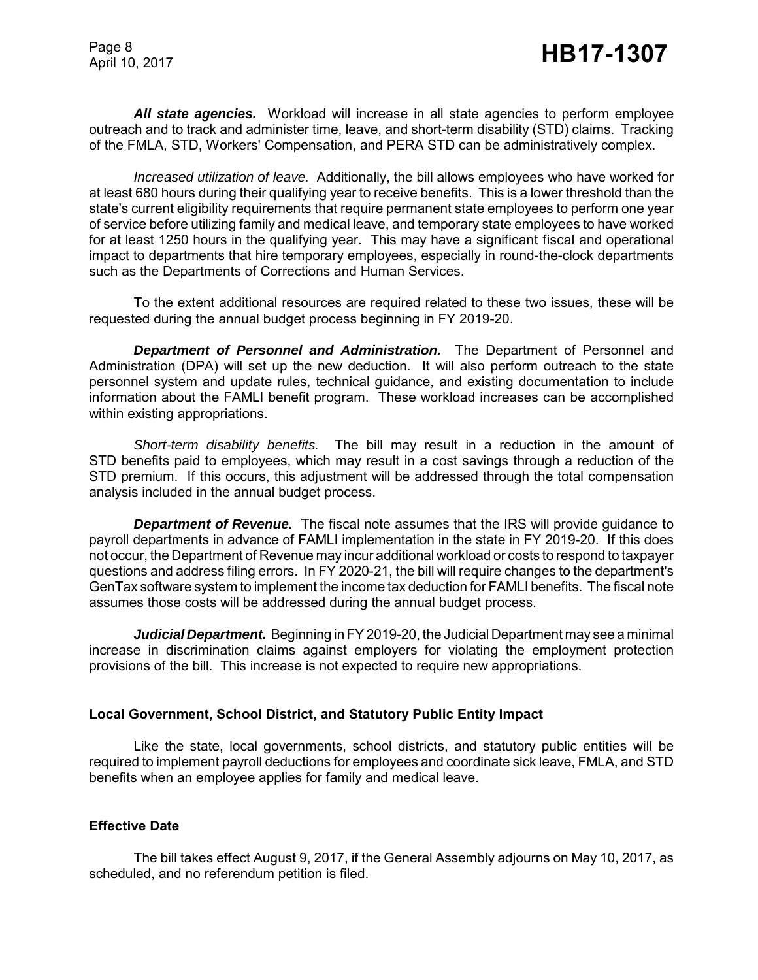Page 8

*All state agencies.* Workload will increase in all state agencies to perform employee outreach and to track and administer time, leave, and short-term disability (STD) claims. Tracking of the FMLA, STD, Workers' Compensation, and PERA STD can be administratively complex.

*Increased utilization of leave.* Additionally, the bill allows employees who have worked for at least 680 hours during their qualifying year to receive benefits. This is a lower threshold than the state's current eligibility requirements that require permanent state employees to perform one year of service before utilizing family and medical leave, and temporary state employees to have worked for at least 1250 hours in the qualifying year. This may have a significant fiscal and operational impact to departments that hire temporary employees, especially in round-the-clock departments such as the Departments of Corrections and Human Services.

To the extent additional resources are required related to these two issues, these will be requested during the annual budget process beginning in FY 2019-20.

*Department of Personnel and Administration.* The Department of Personnel and Administration (DPA) will set up the new deduction. It will also perform outreach to the state personnel system and update rules, technical guidance, and existing documentation to include information about the FAMLI benefit program. These workload increases can be accomplished within existing appropriations.

*Short-term disability benefits.* The bill may result in a reduction in the amount of STD benefits paid to employees, which may result in a cost savings through a reduction of the STD premium. If this occurs, this adjustment will be addressed through the total compensation analysis included in the annual budget process.

*Department of Revenue.* The fiscal note assumes that the IRS will provide guidance to payroll departments in advance of FAMLI implementation in the state in FY 2019-20. If this does not occur, the Department of Revenue may incur additional workload or costs to respond to taxpayer questions and address filing errors. In FY 2020-21, the bill will require changes to the department's GenTax software system to implement the income tax deduction for FAMLI benefits. The fiscal note assumes those costs will be addressed during the annual budget process.

*Judicial Department.* Beginning in FY 2019-20, the Judicial Department may see a minimal increase in discrimination claims against employers for violating the employment protection provisions of the bill. This increase is not expected to require new appropriations.

#### **Local Government, School District, and Statutory Public Entity Impact**

Like the state, local governments, school districts, and statutory public entities will be required to implement payroll deductions for employees and coordinate sick leave, FMLA, and STD benefits when an employee applies for family and medical leave.

### **Effective Date**

The bill takes effect August 9, 2017, if the General Assembly adjourns on May 10, 2017, as scheduled, and no referendum petition is filed.